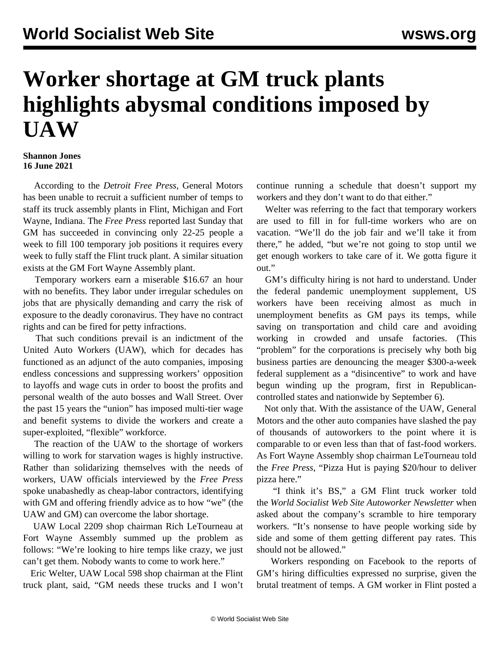## **Worker shortage at GM truck plants highlights abysmal conditions imposed by UAW**

## **Shannon Jones 16 June 2021**

 According to the *Detroit Free Press*, General Motors has been unable to recruit a sufficient number of temps to staff its truck assembly plants in Flint, Michigan and Fort Wayne, Indiana. The *Free Press* reported last Sunday that GM has succeeded in convincing only 22-25 people a week to fill 100 temporary job positions it requires every week to fully staff the Flint truck plant. A similar situation exists at the GM Fort Wayne Assembly plant.

 Temporary workers earn a miserable \$16.67 an hour with no benefits. They labor under irregular schedules on jobs that are physically demanding and carry the risk of exposure to the deadly coronavirus. They have no contract rights and can be fired for petty infractions.

 That such conditions prevail is an indictment of the United Auto Workers (UAW), which for decades has functioned as an adjunct of the auto companies, imposing endless concessions and suppressing workers' opposition to layoffs and wage cuts in order to boost the profits and personal wealth of the auto bosses and Wall Street. Over the past 15 years the "union" has imposed multi-tier wage and benefit systems to divide the workers and create a super-exploited, "flexible" workforce.

 The reaction of the UAW to the shortage of workers willing to work for starvation wages is highly instructive. Rather than solidarizing themselves with the needs of workers, UAW officials interviewed by the *Free Press* spoke unabashedly as cheap-labor contractors, identifying with GM and offering friendly advice as to how "we" (the UAW and GM) can overcome the labor shortage.

 UAW Local 2209 shop chairman Rich LeTourneau at Fort Wayne Assembly summed up the problem as follows: "We're looking to hire temps like crazy, we just can't get them. Nobody wants to come to work here."

 Eric Welter, UAW Local 598 shop chairman at the Flint truck plant, said, "GM needs these trucks and I won't continue running a schedule that doesn't support my workers and they don't want to do that either."

 Welter was referring to the fact that temporary workers are used to fill in for full-time workers who are on vacation. "We'll do the job fair and we'll take it from there," he added, "but we're not going to stop until we get enough workers to take care of it. We gotta figure it out."

 GM's difficulty hiring is not hard to understand. Under the federal pandemic unemployment supplement, US workers have been receiving almost as much in unemployment benefits as GM pays its temps, while saving on transportation and child care and avoiding working in crowded and unsafe factories. (This "problem" for the corporations is precisely why both big business parties are denouncing the meager \$300-a-week federal supplement as a "disincentive" to work and have begun [winding up the program,](/en/articles/2021/06/15/pers-j15.html) first in Republicancontrolled states and nationwide by September 6).

 Not only that. With the assistance of the UAW, General Motors and the other auto companies have slashed the pay of thousands of autoworkers to the point where it is comparable to or even less than that of fast-food workers. As Fort Wayne Assembly shop chairman LeTourneau told the *Free Press*, "Pizza Hut is paying \$20/hour to deliver pizza here."

 "I think it's BS," a GM Flint truck worker told the *World Socialist Web Site Autoworker Newsletter* when asked about the company's scramble to hire temporary workers. "It's nonsense to have people working side by side and some of them getting different pay rates. This should not be allowed."

 Workers responding on Facebook to the reports of GM's hiring difficulties expressed no surprise, given the brutal treatment of temps. A GM worker in Flint posted a